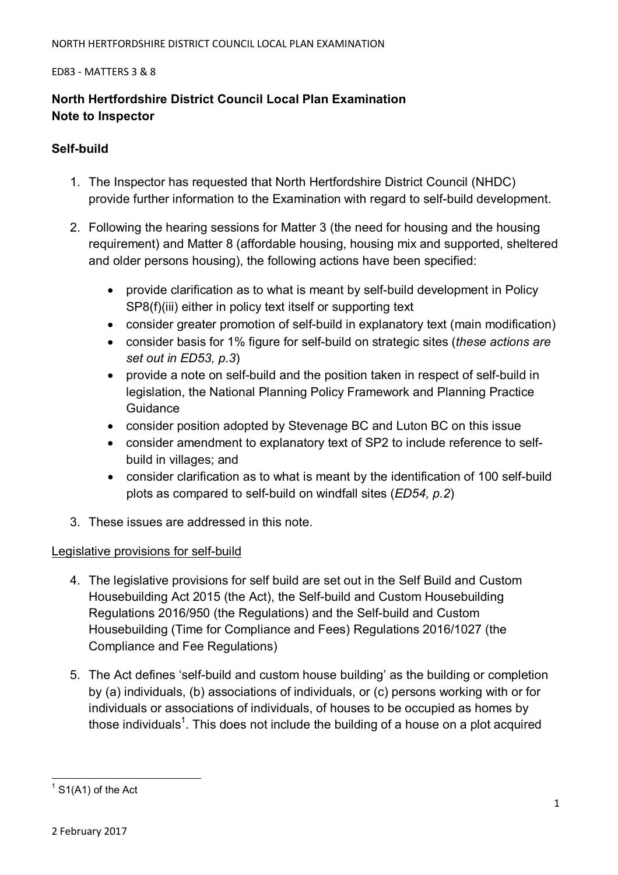## **North Hertfordshire District Council Local Plan Examination Note to Inspector**

## **Self-build**

- 1. The Inspector has requested that North Hertfordshire District Council (NHDC) provide further information to the Examination with regard to self-build development.
- 2. Following the hearing sessions for Matter 3 (the need for housing and the housing requirement) and Matter 8 (affordable housing, housing mix and supported, sheltered and older persons housing), the following actions have been specified:
	- provide clarification as to what is meant by self-build development in Policy SP8(f)(iii) either in policy text itself or supporting text
	- consider greater promotion of self-build in explanatory text (main modification)
	- consider basis for 1% figure for self-build on strategic sites (*these actions are set out in ED53, p.3*)
	- provide a note on self-build and the position taken in respect of self-build in legislation, the National Planning Policy Framework and Planning Practice **Guidance**
	- consider position adopted by Stevenage BC and Luton BC on this issue
	- consider amendment to explanatory text of SP2 to include reference to selfbuild in villages; and
	- consider clarification as to what is meant by the identification of 100 self-build plots as compared to self-build on windfall sites (*ED54, p.2*)
- 3. These issues are addressed in this note.

## Legislative provisions for self-build

- 4. The legislative provisions for self build are set out in the Self Build and Custom Housebuilding Act 2015 (the Act), the Self-build and Custom Housebuilding Regulations 2016/950 (the Regulations) and the Self-build and Custom Housebuilding (Time for Compliance and Fees) Regulations 2016/1027 (the Compliance and Fee Regulations)
- 5. The Act defines 'self-build and custom house building' as the building or completion by (a) individuals, (b) associations of individuals, or (c) persons working with or for individuals or associations of individuals, of houses to be occupied as homes by those individuals<sup>1</sup>. This does not include the building of a house on a plot acquired

 $\overline{a}$  $1$  S1(A1) of the Act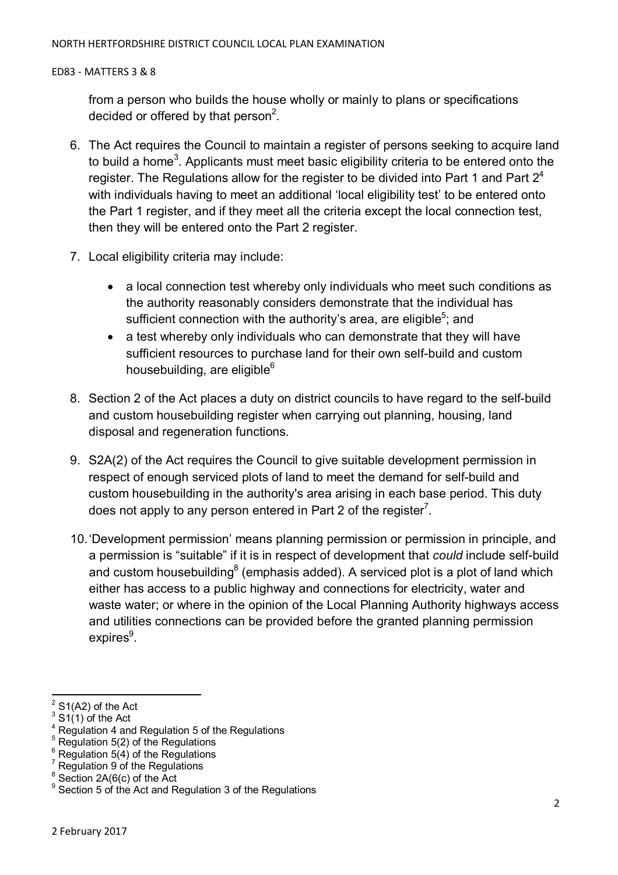from a person who builds the house wholly or mainly to plans or specifications decided or offered by that person<sup>2</sup>.

- 6. The Act requires the Council to maintain a register of persons seeking to acquire land to build a home<sup>3</sup>. Applicants must meet basic eligibility criteria to be entered onto the register. The Regulations allow for the register to be divided into Part 1 and Part  $2<sup>4</sup>$ with individuals having to meet an additional 'local eligibility test' to be entered onto the Part 1 register, and if they meet all the criteria except the local connection test, then they will be entered onto the Part 2 register.
- 7. Local eligibility criteria may include:
	- a local connection test whereby only individuals who meet such conditions as the authority reasonably considers demonstrate that the individual has sufficient connection with the authority's area, are eligible<sup>5</sup>; and
	- a test whereby only individuals who can demonstrate that they will have sufficient resources to purchase land for their own self-build and custom housebuilding, are eligible $6$
- 8. Section 2 of the Act places a duty on district councils to have regard to the self-build and custom housebuilding register when carrying out planning, housing, land disposal and regeneration functions.
- 9. S2A(2) of the Act requires the Council to give suitable development permission in respect of enough serviced plots of land to meet the demand for self-build and custom housebuilding in the authority's area arising in each base period. This duty does not apply to any person entered in Part 2 of the register<sup>7</sup>.
- 10. 'Development permission' means planning permission or permission in principle, and a permission is "suitable" if it is in respect of development that *could* include self-build and custom housebuilding<sup>8</sup> (emphasis added). A serviced plot is a plot of land which either has access to a public highway and connections for electricity, water and waste water; or where in the opinion of the Local Planning Authority highways access and utilities connections can be provided before the granted planning permission expires<sup>9</sup>.

 $\overline{a}$  $2^{2}$  S1(A2) of the Act

<sup>3</sup>  $S1(1)$  of the Act

<sup>4</sup> Regulation 4 and Regulation 5 of the Regulations

 $5<sup>5</sup>$  Regulation 5(2) of the Regulations

<sup>6</sup> Regulation  $5(4)$  of the Regulations

<sup>7</sup> Regulation 9 of the Regulations

 $\frac{8}{3}$  Section 2A(6(c) of the Act

<sup>&</sup>lt;sup>9</sup> Section 5 of the Act and Regulation 3 of the Regulations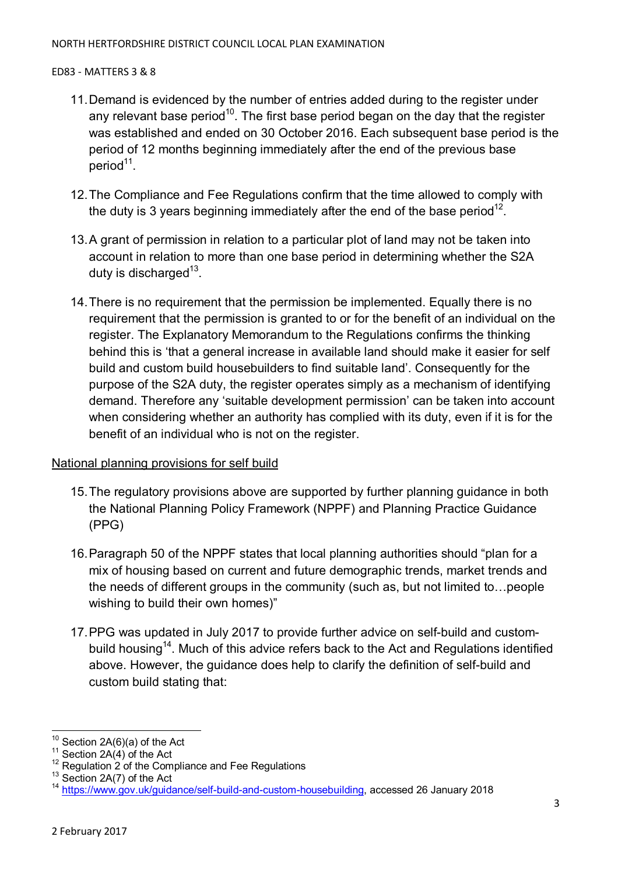- 11. Demand is evidenced by the number of entries added during to the register under any relevant base period<sup>10</sup>. The first base period began on the day that the register was established and ended on 30 October 2016. Each subsequent base period is the period of 12 months beginning immediately after the end of the previous base period<sup>11</sup>.
- 12. The Compliance and Fee Regulations confirm that the time allowed to comply with the duty is 3 years beginning immediately after the end of the base period<sup>12</sup>.
- 13. A grant of permission in relation to a particular plot of land may not be taken into account in relation to more than one base period in determining whether the S2A duty is discharged<sup>13</sup>.
- 14. There is no requirement that the permission be implemented. Equally there is no requirement that the permission is granted to or for the benefit of an individual on the register. The Explanatory Memorandum to the Regulations confirms the thinking behind this is 'that a general increase in available land should make it easier for self build and custom build housebuilders to find suitable land'. Consequently for the purpose of the S2A duty, the register operates simply as a mechanism of identifying demand. Therefore any 'suitable development permission' can be taken into account when considering whether an authority has complied with its duty, even if it is for the benefit of an individual who is not on the register.

## National planning provisions for self build

- 15. The regulatory provisions above are supported by further planning guidance in both the National Planning Policy Framework (NPPF) and Planning Practice Guidance (PPG)
- 16. Paragraph 50 of the NPPF states that local planning authorities should "plan for a mix of housing based on current and future demographic trends, market trends and the needs of different groups in the community (such as, but not limited to... people wishing to build their own homes)"
- 17. PPG was updated in July 2017 to provide further advice on self-build and custombuild housing<sup>14</sup>. Much of this advice refers back to the Act and Regulations identified above. However, the guidance does help to clarify the definition of self-build and custom build stating that:

 $\overline{a}$ 

 $10$  Section 2A(6)(a) of the Act

Section  $2A(4)$  of the Act

Regulation 2 of the Compliance and Fee Regulations

<sup>&</sup>lt;sup>13</sup> Section 2A(7) of the Act

https://www.gov.uk/guidance/self-build-and-custom-housebuilding, accessed 26 January 2018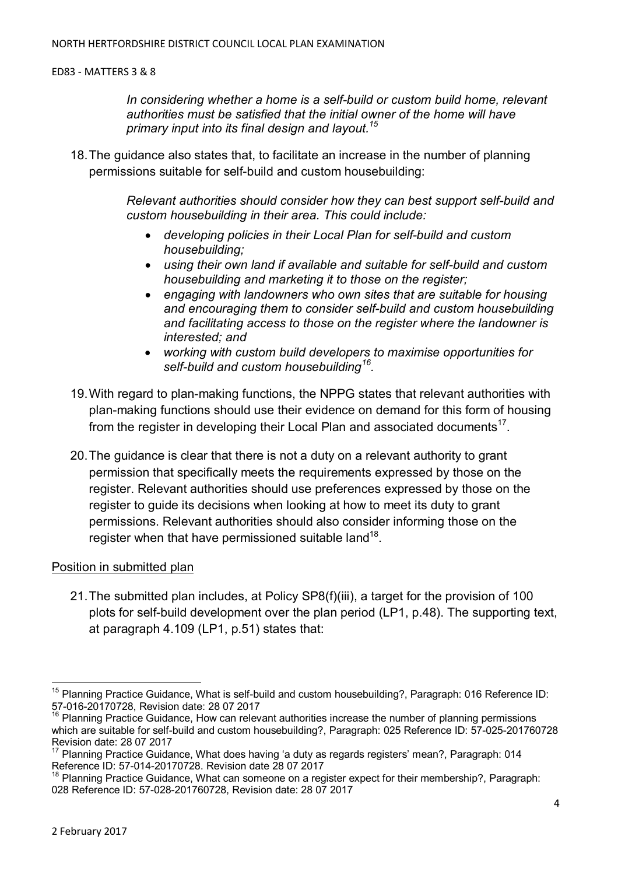*In considering whether a home is a self-build or custom build home, relevant authorities must be satisfied that the initial owner of the home will have primary input into its final design and layout.<sup>15</sup>*

18. The guidance also states that, to facilitate an increase in the number of planning permissions suitable for self-build and custom housebuilding:

> *Relevant authorities should consider how they can best support self-build and custom housebuilding in their area. This could include:*

- *developing policies in their Local Plan for self-build and custom housebuilding;*
- *using their own land if available and suitable for self-build and custom housebuilding and marketing it to those on the register;*
- *engaging with landowners who own sites that are suitable for housing and encouraging them to consider self-build and custom housebuilding and facilitating access to those on the register where the landowner is interested; and*
- *working with custom build developers to maximise opportunities for self-build and custom housebuilding<sup>16</sup> .*
- 19. With regard to plan-making functions, the NPPG states that relevant authorities with plan-making functions should use their evidence on demand for this form of housing from the register in developing their Local Plan and associated documents<sup>17</sup>.
- 20. The guidance is clear that there is not a duty on a relevant authority to grant permission that specifically meets the requirements expressed by those on the register. Relevant authorities should use preferences expressed by those on the register to guide its decisions when looking at how to meet its duty to grant permissions. Relevant authorities should also consider informing those on the register when that have permissioned suitable land $^{18}$ .

#### Position in submitted plan

21. The submitted plan includes, at Policy SP8(f)(iii), a target for the provision of 100 plots for self-build development over the plan period (LP1, p.48). The supporting text, at paragraph 4.109 (LP1, p.51) states that:

 $\overline{\phantom{a}}$ 

<sup>&</sup>lt;sup>15</sup> Planning Practice Guidance, What is self-build and custom housebuilding?, Paragraph: 016 Reference ID: 57-016-20170728, Revision date: 28 07 2017

<sup>&</sup>lt;sup>16</sup> Planning Practice Guidance, How can relevant authorities increase the number of planning permissions which are suitable for self-build and custom housebuilding?, Paragraph: 025 Reference ID: 57-025-201760728 Revision date: 28 07 2017

<sup>17</sup> Planning Practice Guidance, What does having 'a duty as regards registers' mean?, Paragraph: 014 Reference ID: 57-014-20170728. Revision date 28 07 2017

<sup>&</sup>lt;sup>18</sup> Planning Practice Guidance, What can someone on a register expect for their membership?, Paragraph: 028 Reference ID: 57-028-201760728, Revision date: 28 07 2017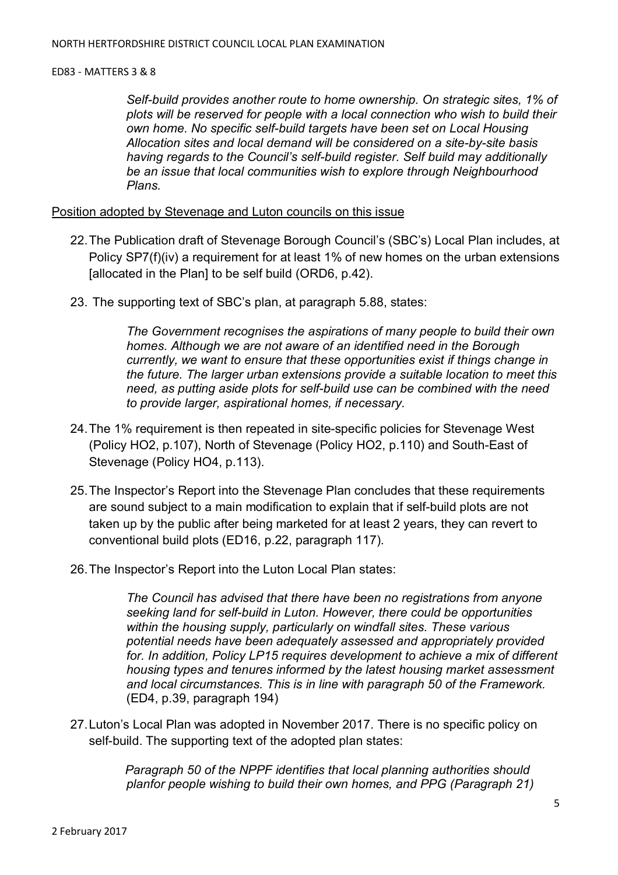*Self-build provides another route to home ownership. On strategic sites, 1% of plots will be reserved for people with a local connection who wish to build their own home. No specific self-build targets have been set on Local Housing Allocation sites and local demand will be considered on a site-by-site basis having regards to the Council's self-build register. Self build may additionally be an issue that local communities wish to explore through Neighbourhood Plans.* 

Position adopted by Stevenage and Luton councils on this issue

- 22. The Publication draft of Stevenage Borough Council's (SBC's) Local Plan includes, at Policy SP7(f)(iv) a requirement for at least 1% of new homes on the urban extensions [allocated in the Plan] to be self build (ORD6, p.42).
- 23. The supporting text of SBC's plan, at paragraph 5.88, states:

*The Government recognises the aspirations of many people to build their own homes. Although we are not aware of an identified need in the Borough currently, we want to ensure that these opportunities exist if things change in the future. The larger urban extensions provide a suitable location to meet this need, as putting aside plots for self-build use can be combined with the need to provide larger, aspirational homes, if necessary.* 

- 24. The 1% requirement is then repeated in site-specific policies for Stevenage West (Policy HO2, p.107), North of Stevenage (Policy HO2, p.110) and South-East of Stevenage (Policy HO4, p.113).
- 25. The Inspector's Report into the Stevenage Plan concludes that these requirements are sound subject to a main modification to explain that if self-build plots are not taken up by the public after being marketed for at least 2 years, they can revert to conventional build plots (ED16, p.22, paragraph 117).
- 26. The Inspector's Report into the Luton Local Plan states:

*The Council has advised that there have been no registrations from anyone seeking land for self-build in Luton. However, there could be opportunities within the housing supply, particularly on windfall sites. These various potential needs have been adequately assessed and appropriately provided for. In addition, Policy LP15 requires development to achieve a mix of different housing types and tenures informed by the latest housing market assessment and local circumstances. This is in line with paragraph 50 of the Framework.*  (ED4, p.39, paragraph 194)

27. Luton's Local Plan was adopted in November 2017. There is no specific policy on self-build. The supporting text of the adopted plan states:

> *Paragraph 50 of the NPPF identifies that local planning authorities should planfor people wishing to build their own homes, and PPG (Paragraph 21)*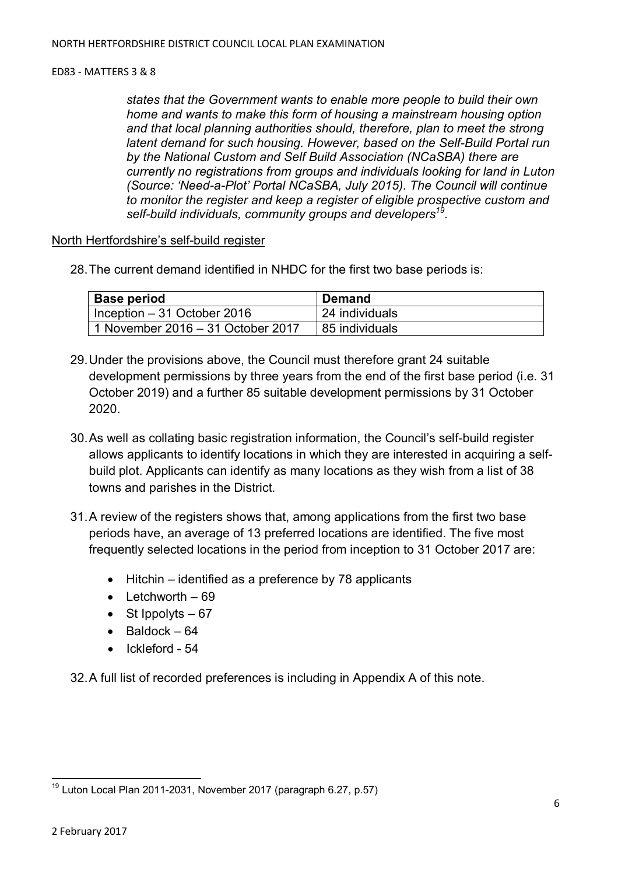*states that the Government wants to enable more people to build their own home and wants to make this form of housing a mainstream housing option and that local planning authorities should, therefore, plan to meet the strong latent demand for such housing. However, based on the Self-Build Portal run by the National Custom and Self Build Association (NCaSBA) there are currently no registrations from groups and individuals looking for land in Luton (Source: 'Need-a-Plot' Portal NCaSBA, July 2015). The Council will continue to monitor the register and keep a register of eligible prospective custom and self-build individuals, community groups and developers<sup>19</sup> .* 

## North Hertfordshire's self-build register

28. The current demand identified in NHDC for the first two base periods is:

| <b>Base period</b>                | Demand         |
|-----------------------------------|----------------|
| Inception $-31$ October 2016      | 24 individuals |
| 1 November 2016 – 31 October 2017 | 85 individuals |

- 29. Under the provisions above, the Council must therefore grant 24 suitable development permissions by three years from the end of the first base period (i.e. 31 October 2019) and a further 85 suitable development permissions by 31 October 2020.
- 30. As well as collating basic registration information, the Council's self-build register allows applicants to identify locations in which they are interested in acquiring a selfbuild plot. Applicants can identify as many locations as they wish from a list of 38 towns and parishes in the District.
- 31. A review of the registers shows that, among applications from the first two base periods have, an average of 13 preferred locations are identified. The five most frequently selected locations in the period from inception to 31 October 2017 are:
	- Hitchin identified as a preference by 78 applicants
	- $\bullet$  Letchworth  $-69$
	- St Ippolyts  $-67$
	- $\bullet$  Baldock 64
	- Ickleford 54

32. A full list of recorded preferences is including in Appendix A of this note.

 $\overline{a}$  $19$  Luton Local Plan 2011-2031, November 2017 (paragraph 6.27, p.57)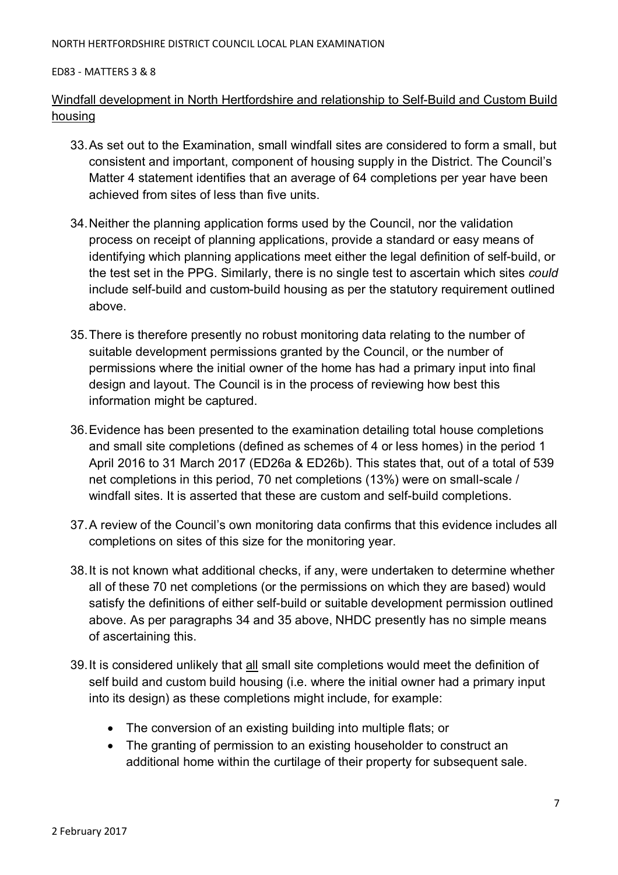#### NORTH HERTFORDSHIRE DISTRICT COUNCIL LOCAL PLAN EXAMINATION

#### ED83 - MATTERS 3 & 8

## Windfall development in North Hertfordshire and relationship to Self-Build and Custom Build housing

- 33. As set out to the Examination, small windfall sites are considered to form a small, but consistent and important, component of housing supply in the District. The Council's Matter 4 statement identifies that an average of 64 completions per year have been achieved from sites of less than five units.
- 34. Neither the planning application forms used by the Council, nor the validation process on receipt of planning applications, provide a standard or easy means of identifying which planning applications meet either the legal definition of self-build, or the test set in the PPG. Similarly, there is no single test to ascertain which sites *could* include self-build and custom-build housing as per the statutory requirement outlined above.
- 35. There is therefore presently no robust monitoring data relating to the number of suitable development permissions granted by the Council, or the number of permissions where the initial owner of the home has had a primary input into final design and layout. The Council is in the process of reviewing how best this information might be captured.
- 36. Evidence has been presented to the examination detailing total house completions and small site completions (defined as schemes of 4 or less homes) in the period 1 April 2016 to 31 March 2017 (ED26a & ED26b). This states that, out of a total of 539 net completions in this period, 70 net completions (13%) were on small-scale / windfall sites. It is asserted that these are custom and self-build completions.
- 37. A review of the Council's own monitoring data confirms that this evidence includes all completions on sites of this size for the monitoring year.
- 38. It is not known what additional checks, if any, were undertaken to determine whether all of these 70 net completions (or the permissions on which they are based) would satisfy the definitions of either self-build or suitable development permission outlined above. As per paragraphs 34 and 35 above, NHDC presently has no simple means of ascertaining this.
- 39. It is considered unlikely that all small site completions would meet the definition of self build and custom build housing (i.e. where the initial owner had a primary input into its design) as these completions might include, for example:
	- The conversion of an existing building into multiple flats; or
	- The granting of permission to an existing householder to construct an additional home within the curtilage of their property for subsequent sale.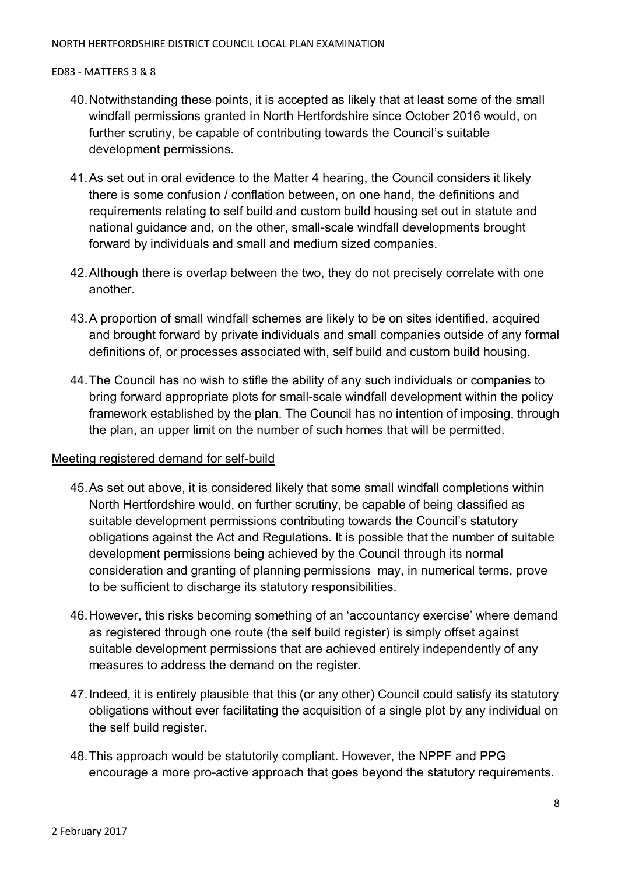- 40. Notwithstanding these points, it is accepted as likely that at least some of the small windfall permissions granted in North Hertfordshire since October 2016 would, on further scrutiny, be capable of contributing towards the Council's suitable development permissions.
- 41. As set out in oral evidence to the Matter 4 hearing, the Council considers it likely there is some confusion / conflation between, on one hand, the definitions and requirements relating to self build and custom build housing set out in statute and national guidance and, on the other, small-scale windfall developments brought forward by individuals and small and medium sized companies.
- 42. Although there is overlap between the two, they do not precisely correlate with one another.
- 43. A proportion of small windfall schemes are likely to be on sites identified, acquired and brought forward by private individuals and small companies outside of any formal definitions of, or processes associated with, self build and custom build housing.
- 44. The Council has no wish to stifle the ability of any such individuals or companies to bring forward appropriate plots for small-scale windfall development within the policy framework established by the plan. The Council has no intention of imposing, through the plan, an upper limit on the number of such homes that will be permitted.

## Meeting registered demand for self-build

- 45. As set out above, it is considered likely that some small windfall completions within North Hertfordshire would, on further scrutiny, be capable of being classified as suitable development permissions contributing towards the Council's statutory obligations against the Act and Regulations. It is possible that the number of suitable development permissions being achieved by the Council through its normal consideration and granting of planning permissions may, in numerical terms, prove to be sufficient to discharge its statutory responsibilities.
- 46. However, this risks becoming something of an 'accountancy exercise' where demand as registered through one route (the self build register) is simply offset against suitable development permissions that are achieved entirely independently of any measures to address the demand on the register.
- 47. Indeed, it is entirely plausible that this (or any other) Council could satisfy its statutory obligations without ever facilitating the acquisition of a single plot by any individual on the self build register.
- 48. This approach would be statutorily compliant. However, the NPPF and PPG encourage a more pro-active approach that goes beyond the statutory requirements.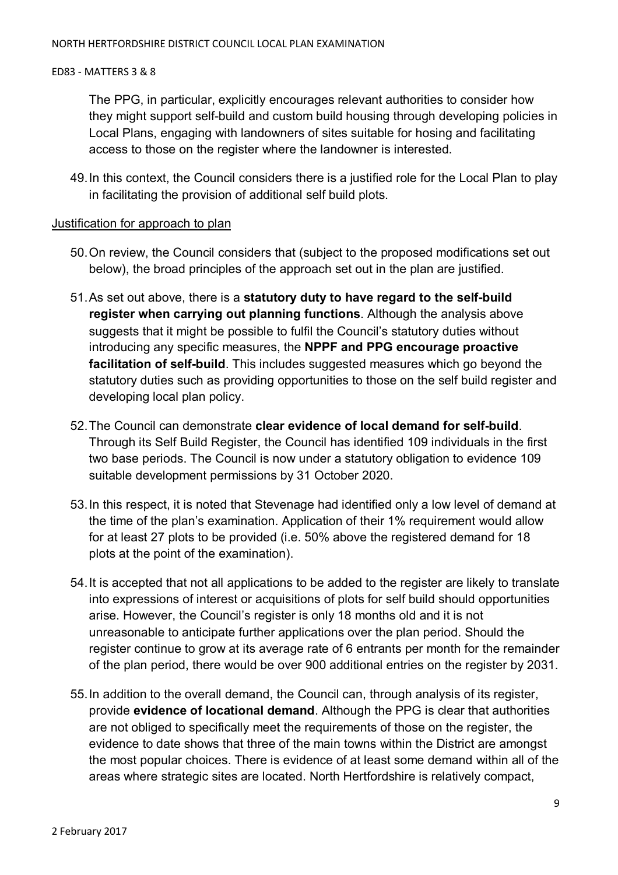The PPG, in particular, explicitly encourages relevant authorities to consider how they might support self-build and custom build housing through developing policies in Local Plans, engaging with landowners of sites suitable for hosing and facilitating access to those on the register where the landowner is interested.

49. In this context, the Council considers there is a justified role for the Local Plan to play in facilitating the provision of additional self build plots.

## Justification for approach to plan

- 50. On review, the Council considers that (subject to the proposed modifications set out below), the broad principles of the approach set out in the plan are justified.
- 51. As set out above, there is a **statutory duty to have regard to the self-build register when carrying out planning functions**. Although the analysis above suggests that it might be possible to fulfil the Council's statutory duties without introducing any specific measures, the **NPPF and PPG encourage proactive facilitation of self-build**. This includes suggested measures which go beyond the statutory duties such as providing opportunities to those on the self build register and developing local plan policy.
- 52. The Council can demonstrate **clear evidence of local demand for self-build**. Through its Self Build Register, the Council has identified 109 individuals in the first two base periods. The Council is now under a statutory obligation to evidence 109 suitable development permissions by 31 October 2020.
- 53. In this respect, it is noted that Stevenage had identified only a low level of demand at the time of the plan's examination. Application of their 1% requirement would allow for at least 27 plots to be provided (i.e. 50% above the registered demand for 18 plots at the point of the examination).
- 54. It is accepted that not all applications to be added to the register are likely to translate into expressions of interest or acquisitions of plots for self build should opportunities arise. However, the Council's register is only 18 months old and it is not unreasonable to anticipate further applications over the plan period. Should the register continue to grow at its average rate of 6 entrants per month for the remainder of the plan period, there would be over 900 additional entries on the register by 2031.
- 55. In addition to the overall demand, the Council can, through analysis of its register, provide **evidence of locational demand**. Although the PPG is clear that authorities are not obliged to specifically meet the requirements of those on the register, the evidence to date shows that three of the main towns within the District are amongst the most popular choices. There is evidence of at least some demand within all of the areas where strategic sites are located. North Hertfordshire is relatively compact,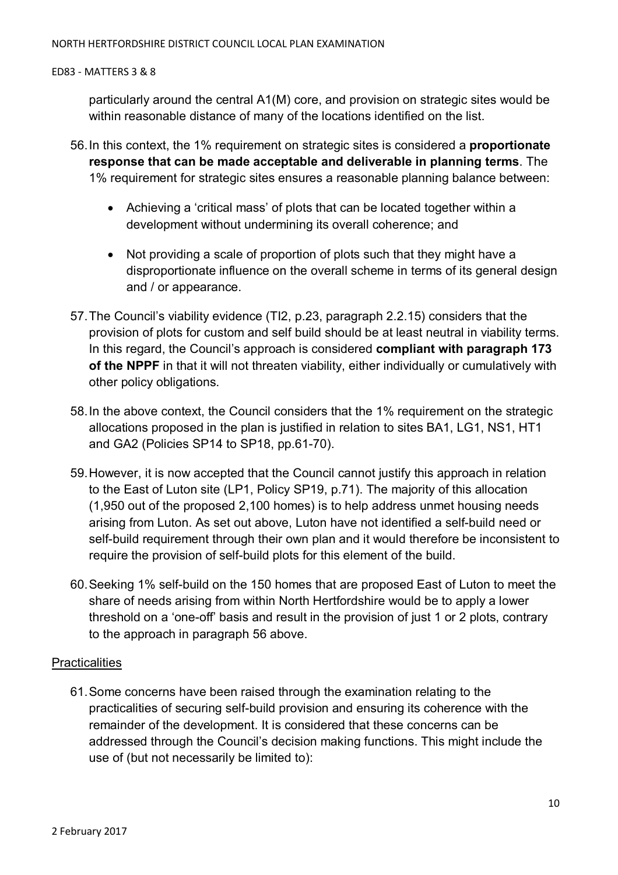particularly around the central A1(M) core, and provision on strategic sites would be within reasonable distance of many of the locations identified on the list.

- 56. In this context, the 1% requirement on strategic sites is considered a **proportionate response that can be made acceptable and deliverable in planning terms**. The 1% requirement for strategic sites ensures a reasonable planning balance between:
	- Achieving a 'critical mass' of plots that can be located together within a development without undermining its overall coherence; and
	- Not providing a scale of proportion of plots such that they might have a disproportionate influence on the overall scheme in terms of its general design and / or appearance.
- 57. The Council's viability evidence (TI2, p.23, paragraph 2.2.15) considers that the provision of plots for custom and self build should be at least neutral in viability terms. In this regard, the Council's approach is considered **compliant with paragraph 173 of the NPPF** in that it will not threaten viability, either individually or cumulatively with other policy obligations.
- 58. In the above context, the Council considers that the 1% requirement on the strategic allocations proposed in the plan is justified in relation to sites BA1, LG1, NS1, HT1 and GA2 (Policies SP14 to SP18, pp.61-70).
- 59. However, it is now accepted that the Council cannot justify this approach in relation to the East of Luton site (LP1, Policy SP19, p.71). The majority of this allocation (1,950 out of the proposed 2,100 homes) is to help address unmet housing needs arising from Luton. As set out above, Luton have not identified a self-build need or self-build requirement through their own plan and it would therefore be inconsistent to require the provision of self-build plots for this element of the build.
- 60. Seeking 1% self-build on the 150 homes that are proposed East of Luton to meet the share of needs arising from within North Hertfordshire would be to apply a lower threshold on a 'one-off' basis and result in the provision of just 1 or 2 plots, contrary to the approach in paragraph 56 above.

## **Practicalities**

61. Some concerns have been raised through the examination relating to the practicalities of securing self-build provision and ensuring its coherence with the remainder of the development. It is considered that these concerns can be addressed through the Council's decision making functions. This might include the use of (but not necessarily be limited to):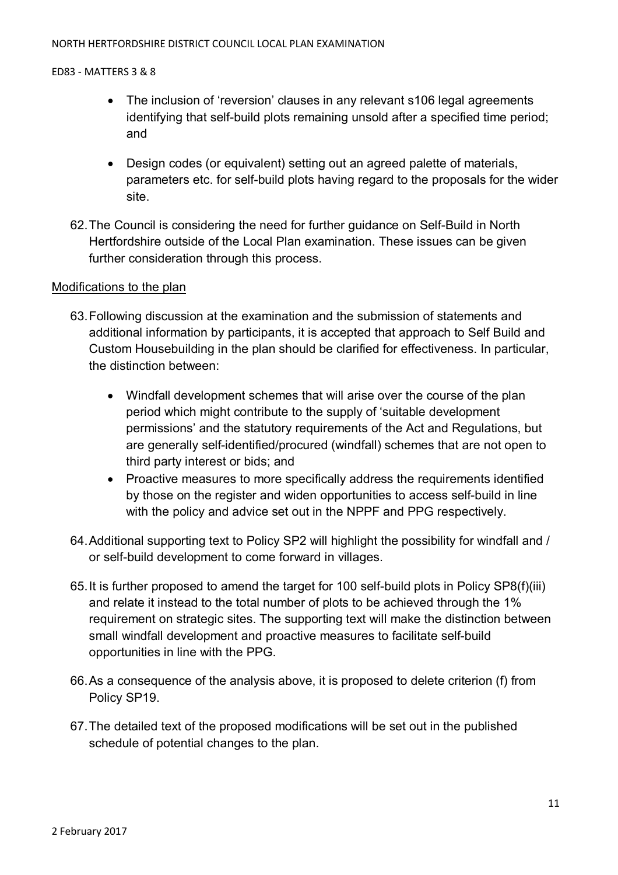#### NORTH HERTFORDSHIRE DISTRICT COUNCIL LOCAL PLAN EXAMINATION

#### ED83 - MATTERS 3 & 8

- The inclusion of 'reversion' clauses in any relevant s106 legal agreements identifying that self-build plots remaining unsold after a specified time period; and
- Design codes (or equivalent) setting out an agreed palette of materials, parameters etc. for self-build plots having regard to the proposals for the wider site.
- 62. The Council is considering the need for further guidance on Self-Build in North Hertfordshire outside of the Local Plan examination. These issues can be given further consideration through this process.

## Modifications to the plan

- 63. Following discussion at the examination and the submission of statements and additional information by participants, it is accepted that approach to Self Build and Custom Housebuilding in the plan should be clarified for effectiveness. In particular, the distinction between:
	- Windfall development schemes that will arise over the course of the plan period which might contribute to the supply of 'suitable development permissions' and the statutory requirements of the Act and Regulations, but are generally self-identified/procured (windfall) schemes that are not open to third party interest or bids; and
	- Proactive measures to more specifically address the requirements identified by those on the register and widen opportunities to access self-build in line with the policy and advice set out in the NPPF and PPG respectively.
- 64. Additional supporting text to Policy SP2 will highlight the possibility for windfall and / or self-build development to come forward in villages.
- 65. It is further proposed to amend the target for 100 self-build plots in Policy SP8(f)(iii) and relate it instead to the total number of plots to be achieved through the 1% requirement on strategic sites. The supporting text will make the distinction between small windfall development and proactive measures to facilitate self-build opportunities in line with the PPG.
- 66. As a consequence of the analysis above, it is proposed to delete criterion (f) from Policy SP19.
- 67. The detailed text of the proposed modifications will be set out in the published schedule of potential changes to the plan.